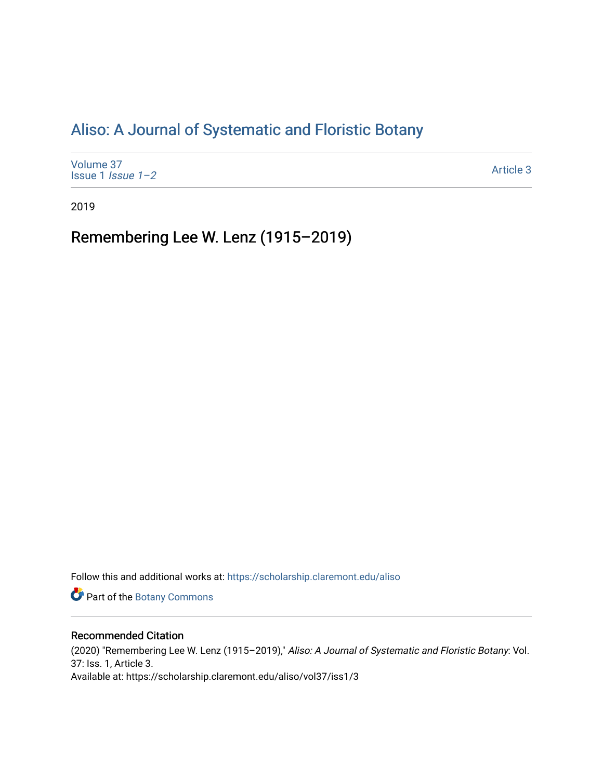## [Aliso: A Journal of Systematic and Floristic Botany](https://scholarship.claremont.edu/aliso)

| Volume 37<br>Issue 1 <i>Issue</i> $1-2$ | Article 3 |
|-----------------------------------------|-----------|
|-----------------------------------------|-----------|

2019

Remembering Lee W. Lenz (1915–2019)

Follow this and additional works at: [https://scholarship.claremont.edu/aliso](https://scholarship.claremont.edu/aliso?utm_source=scholarship.claremont.edu%2Faliso%2Fvol37%2Fiss1%2F3&utm_medium=PDF&utm_campaign=PDFCoverPages) 

Part of the [Botany Commons](https://network.bepress.com/hgg/discipline/104?utm_source=scholarship.claremont.edu%2Faliso%2Fvol37%2Fiss1%2F3&utm_medium=PDF&utm_campaign=PDFCoverPages) 

## Recommended Citation

(2020) "Remembering Lee W. Lenz (1915–2019)," Aliso: A Journal of Systematic and Floristic Botany: Vol. 37: Iss. 1, Article 3. Available at: https://scholarship.claremont.edu/aliso/vol37/iss1/3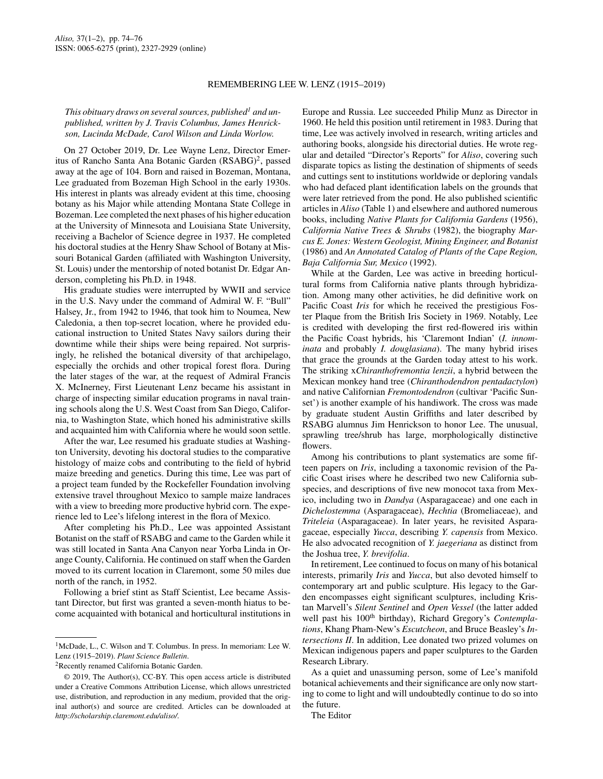## REMEMBERING LEE W. LENZ (1915–2019)

## *This obituary draws on several sources, published<sup>1</sup> and unpublished, written by J. Travis Columbus, James Henrickson, Lucinda McDade, Carol Wilson and Linda Worlow.*

On 27 October 2019, Dr. Lee Wayne Lenz, Director Emeritus of Rancho Santa Ana Botanic Garden (RSABG)<sup>2</sup>, passed away at the age of 104. Born and raised in Bozeman, Montana, Lee graduated from Bozeman High School in the early 1930s. His interest in plants was already evident at this time, choosing botany as his Major while attending Montana State College in Bozeman. Lee completed the next phases of his higher education at the University of Minnesota and Louisiana State University, receiving a Bachelor of Science degree in 1937. He completed his doctoral studies at the Henry Shaw School of Botany at Missouri Botanical Garden (affiliated with Washington University, St. Louis) under the mentorship of noted botanist Dr. Edgar Anderson, completing his Ph.D. in 1948.

His graduate studies were interrupted by WWII and service in the U.S. Navy under the command of Admiral W. F. "Bull" Halsey, Jr., from 1942 to 1946, that took him to Noumea, New Caledonia, a then top-secret location, where he provided educational instruction to United States Navy sailors during their downtime while their ships were being repaired. Not surprisingly, he relished the botanical diversity of that archipelago, especially the orchids and other tropical forest flora. During the later stages of the war, at the request of Admiral Francis X. McInerney, First Lieutenant Lenz became his assistant in charge of inspecting similar education programs in naval training schools along the U.S. West Coast from San Diego, California, to Washington State, which honed his administrative skills and acquainted him with California where he would soon settle.

After the war, Lee resumed his graduate studies at Washington University, devoting his doctoral studies to the comparative histology of maize cobs and contributing to the field of hybrid maize breeding and genetics. During this time, Lee was part of a project team funded by the Rockefeller Foundation involving extensive travel throughout Mexico to sample maize landraces with a view to breeding more productive hybrid corn. The experience led to Lee's lifelong interest in the flora of Mexico.

After completing his Ph.D., Lee was appointed Assistant Botanist on the staff of RSABG and came to the Garden while it was still located in Santa Ana Canyon near Yorba Linda in Orange County, California. He continued on staff when the Garden moved to its current location in Claremont, some 50 miles due north of the ranch, in 1952.

Following a brief stint as Staff Scientist, Lee became Assistant Director, but first was granted a seven-month hiatus to become acquainted with botanical and horticultural institutions in Europe and Russia. Lee succeeded Philip Munz as Director in 1960. He held this position until retirement in 1983. During that time, Lee was actively involved in research, writing articles and authoring books, alongside his directorial duties. He wrote regular and detailed "Director's Reports" for *Aliso*, covering such disparate topics as listing the destination of shipments of seeds and cuttings sent to institutions worldwide or deploring vandals who had defaced plant identification labels on the grounds that were later retrieved from the pond. He also published scientific articles in *Aliso* (Table 1) and elsewhere and authored numerous books, including *Native Plants for California Gardens* (1956), *California Native Trees & Shrubs* (1982), the biography *Marcus E. Jones: Western Geologist, Mining Engineer, and Botanist* (1986) and *An Annotated Catalog of Plants of the Cape Region, Baja California Sur, Mexico* (1992).

While at the Garden, Lee was active in breeding horticultural forms from California native plants through hybridization. Among many other activities, he did definitive work on Pacific Coast *Iris* for which he received the prestigious Foster Plaque from the British Iris Society in 1969. Notably, Lee is credited with developing the first red-flowered iris within the Pacific Coast hybrids, his 'Claremont Indian' (*I. innominata* and probably *I. douglasiana*). The many hybrid irises that grace the grounds at the Garden today attest to his work. The striking x*Chiranthofremontia lenzii*, a hybrid between the Mexican monkey hand tree (*Chiranthodendron pentadactylon*) and native Californian *Fremontodendron* (cultivar 'Pacific Sunset') is another example of his handiwork. The cross was made by graduate student Austin Griffiths and later described by RSABG alumnus Jim Henrickson to honor Lee. The unusual, sprawling tree/shrub has large, morphologically distinctive flowers.

Among his contributions to plant systematics are some fifteen papers on *Iris*, including a taxonomic revision of the Pacific Coast irises where he described two new California subspecies, and descriptions of five new monocot taxa from Mexico, including two in *Dandya* (Asparagaceae) and one each in *Dichelostemma* (Asparagaceae), *Hechtia* (Bromeliaceae), and *Triteleia* (Asparagaceae). In later years, he revisited Asparagaceae, especially *Yucca*, describing *Y. capensis* from Mexico. He also advocated recognition of *Y. jaegeriana* as distinct from the Joshua tree, *Y. brevifolia*.

In retirement, Lee continued to focus on many of his botanical interests, primarily *Iris* and *Yucca*, but also devoted himself to contemporary art and public sculpture. His legacy to the Garden encompasses eight significant sculptures, including Kristan Marvell's *Silent Sentinel* and *Open Vessel* (the latter added well past his 100<sup>th</sup> birthday), Richard Gregory's *Contemplations*, Khang Pham-New's *Escutcheon*, and Bruce Beasley's *Intersections II*. In addition, Lee donated two prized volumes on Mexican indigenous papers and paper sculptures to the Garden Research Library.

As a quiet and unassuming person, some of Lee's manifold botanical achievements and their significance are only now starting to come to light and will undoubtedly continue to do so into the future.

The Editor

<sup>&</sup>lt;sup>1</sup>McDade, L., C. Wilson and T. Columbus. In press. In memoriam: Lee W. Lenz (1915–2019). *Plant Science Bulletin*.

<sup>&</sup>lt;sup>2</sup>Recently renamed California Botanic Garden.

<sup>© 2019,</sup> The Author(s), CC-BY. This open access article is distributed under a Creative Commons Attribution License, which allows unrestricted use, distribution, and reproduction in any medium, provided that the original author(s) and source are credited. Articles can be downloaded at *http://scholarship.claremont.edu/aliso/*.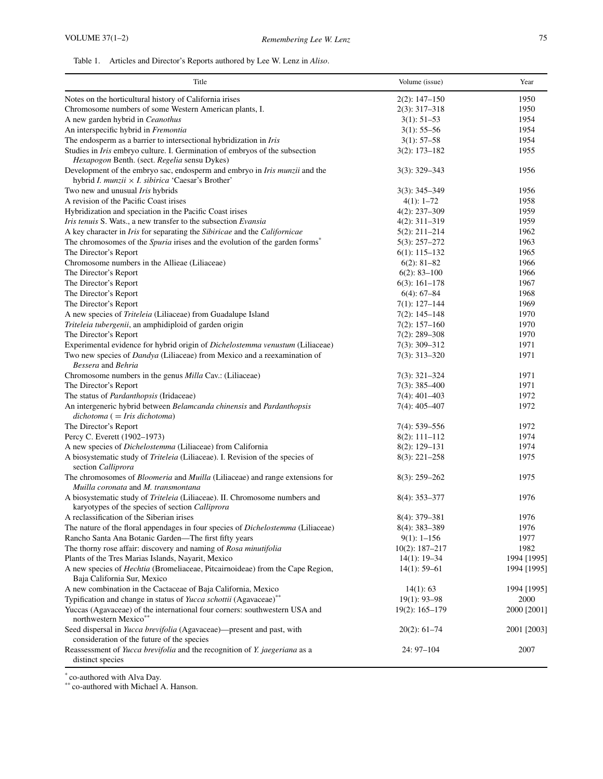| Title                                                                                                                                  | Volume (issue)     | Year        |
|----------------------------------------------------------------------------------------------------------------------------------------|--------------------|-------------|
| Notes on the horticultural history of California irises                                                                                | $2(2): 147 - 150$  | 1950        |
| Chromosome numbers of some Western American plants, I.                                                                                 | $2(3): 317 - 318$  | 1950        |
| A new garden hybrid in Ceanothus                                                                                                       | $3(1): 51-53$      | 1954        |
| An interspecific hybrid in Fremontia                                                                                                   | $3(1)$ : 55–56     | 1954        |
| The endosperm as a barrier to intersectional hybridization in Iris                                                                     | $3(1): 57-58$      | 1954        |
| Studies in Iris embryo culture. I. Germination of embryos of the subsection                                                            | $3(2): 173 - 182$  | 1955        |
| Hexapogon Benth. (sect. Regelia sensu Dykes)                                                                                           |                    |             |
| Development of the embryo sac, endosperm and embryo in Iris munzii and the<br>hybrid I. munzii $\times$ I. sibirica 'Caesar's Brother' | $3(3)$ : 329-343   | 1956        |
| Two new and unusual <i>Iris</i> hybrids                                                                                                | $3(3)$ : 345–349   | 1956        |
| A revision of the Pacific Coast irises                                                                                                 | $4(1): 1-72$       | 1958        |
| Hybridization and speciation in the Pacific Coast irises                                                                               | $4(2): 237 - 309$  | 1959        |
| Iris tenuis S. Wats., a new transfer to the subsection Evansia                                                                         | $4(2): 311 - 319$  | 1959        |
| A key character in <i>Iris</i> for separating the <i>Sibiricae</i> and the <i>Californicae</i>                                         | $5(2): 211 - 214$  | 1962        |
| The chromosomes of the <i>Spuria</i> irises and the evolution of the garden forms <sup>*</sup>                                         | $5(3)$ : 257-272   | 1963        |
| The Director's Report                                                                                                                  | $6(1): 115-132$    | 1965        |
| Chromosome numbers in the Allieae (Liliaceae)                                                                                          | $6(2): 81-82$      | 1966        |
| The Director's Report                                                                                                                  | $6(2): 83 - 100$   | 1966        |
| The Director's Report                                                                                                                  | $6(3)$ : 161-178   | 1967        |
| The Director's Report                                                                                                                  | $6(4): 67-84$      | 1968        |
| The Director's Report                                                                                                                  | $7(1): 127-144$    | 1969        |
| A new species of <i>Triteleia</i> (Liliaceae) from Guadalupe Island                                                                    | $7(2): 145 - 148$  | 1970        |
| Triteleia tubergenii, an amphidiploid of garden origin                                                                                 | $7(2): 157-160$    | 1970        |
| The Director's Report                                                                                                                  | $7(2)$ : 289-308   | 1970        |
| Experimental evidence for hybrid origin of Dichelostemma venustum (Liliaceae)                                                          | $7(3): 309 - 312$  | 1971        |
| Two new species of Dandya (Liliaceae) from Mexico and a reexamination of                                                               | $7(3): 313 - 320$  | 1971        |
| Bessera and Behria                                                                                                                     |                    |             |
| Chromosome numbers in the genus <i>Milla</i> Cav.: (Liliaceae)                                                                         | $7(3): 321 - 324$  | 1971        |
| The Director's Report                                                                                                                  | $7(3)$ : 385-400   | 1971        |
| The status of <i>Pardanthopsis</i> (Iridaceae)                                                                                         | $7(4): 401 - 403$  | 1972        |
| An intergeneric hybrid between Belamcanda chinensis and Pardanthopsis<br>$dichotoma (= Iris dichotoma)$                                | $7(4): 405 - 407$  | 1972        |
| The Director's Report                                                                                                                  | $7(4): 539 - 556$  | 1972        |
| Percy C. Everett (1902–1973)                                                                                                           | $8(2): 111 - 112$  | 1974        |
| A new species of <i>Dichelostemma</i> (Liliaceae) from California                                                                      | $8(2): 129 - 131$  | 1974        |
| A biosystematic study of Triteleia (Liliaceae). I. Revision of the species of<br>section Calliprora                                    | $8(3): 221 - 258$  | 1975        |
| The chromosomes of <i>Bloomeria</i> and <i>Muilla</i> (Liliaceae) and range extensions for<br>Muilla coronata and M. transmontana      | $8(3)$ : 259-262   | 1975        |
| A biosystematic study of Triteleia (Liliaceae). II. Chromosome numbers and<br>karyotypes of the species of section Calliprora          | $8(4): 353 - 377$  | 1976        |
| A reclassification of the Siberian irises                                                                                              | 8(4): 379-381      | 1976        |
| The nature of the floral appendages in four species of <i>Dichelostemma</i> (Liliaceae)                                                | 8(4): 383-389      | 1976        |
| Rancho Santa Ana Botanic Garden-The first fifty years                                                                                  | $9(1): 1-156$      | 1977        |
| The thorny rose affair: discovery and naming of Rosa minutifolia                                                                       | $10(2): 187 - 217$ | 1982        |
| Plants of the Tres Marias Islands, Nayarit, Mexico                                                                                     | $14(1): 19-34$     | 1994 [1995] |
| A new species of <i>Hechtia</i> (Bromeliaceae, Pitcairnoideae) from the Cape Region,                                                   | $14(1)$ : 59-61    | 1994 [1995] |
| Baja California Sur, Mexico                                                                                                            |                    |             |
| A new combination in the Cactaceae of Baja California, Mexico                                                                          | 14(1): 63          | 1994 [1995] |
| Typification and change in status of Yucca schottii (Agavaceae)**                                                                      | $19(1): 93 - 98$   | 2000        |
| Yuccas (Agavaceae) of the international four corners: southwestern USA and<br>northwestern Mexico**                                    | $19(2): 165 - 179$ | 2000 [2001] |
| Seed dispersal in Yucca brevifolia (Agavaceae)—present and past, with<br>consideration of the future of the species                    | $20(2): 61-74$     | 2001 [2003] |
| Reassessment of Yucca brevifolia and the recognition of Y. jaegeriana as a<br>distinct species                                         | 24: 97-104         | 2007        |

\* co-authored with Alva Day.

\*\* co-authored with Michael A. Hanson.